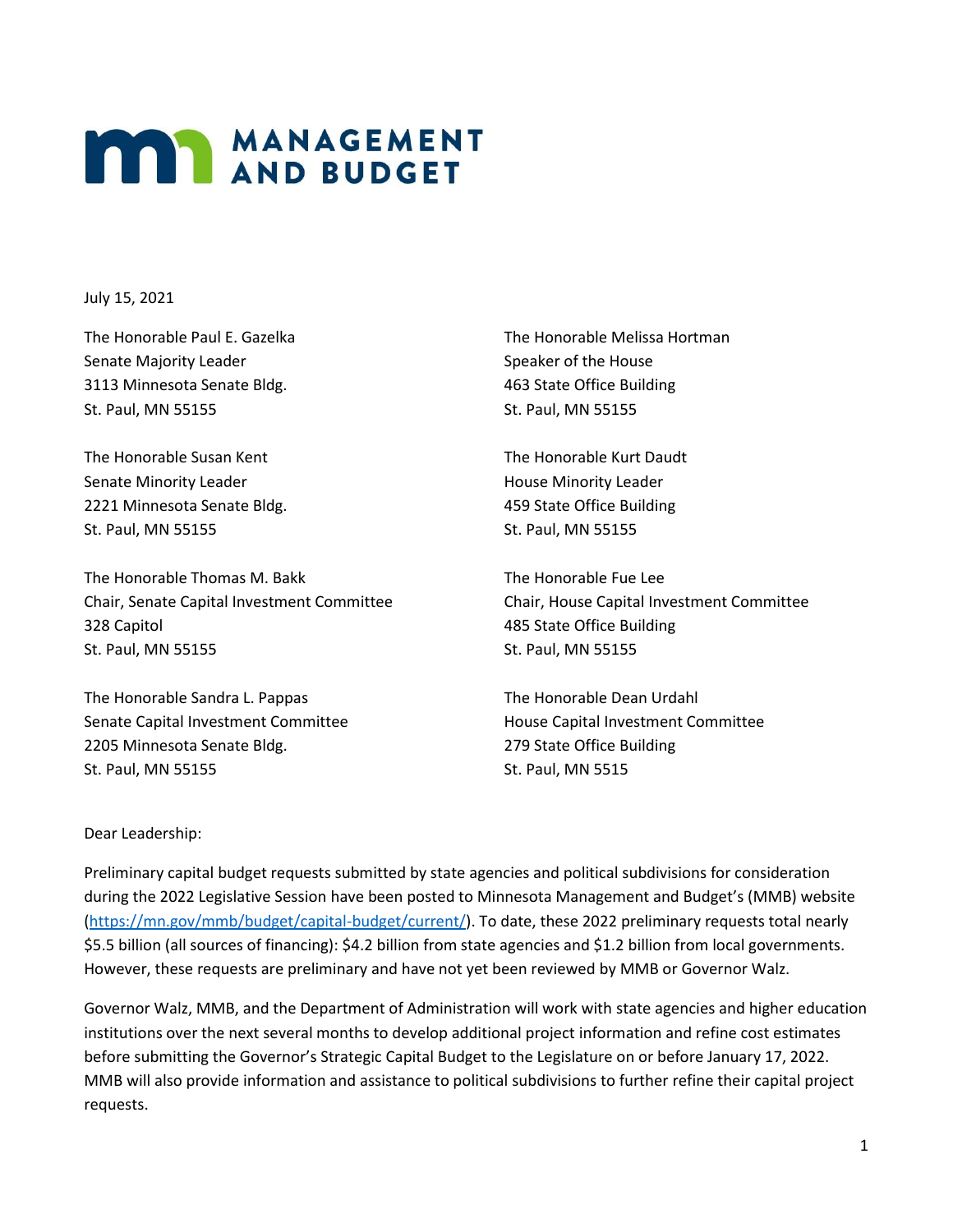## **MANAGEMENT**

July 15, 2021

The Honorable Paul E. Gazelka Senate Majority Leader 3113 Minnesota Senate Bldg. St. Paul, MN 55155

The Honorable Susan Kent Senate Minority Leader 2221 Minnesota Senate Bldg. St. Paul, MN 55155

The Honorable Thomas M. Bakk Chair, Senate Capital Investment Committee 328 Capitol St. Paul, MN 55155

The Honorable Sandra L. Pappas Senate Capital Investment Committee 2205 Minnesota Senate Bldg. St. Paul, MN 55155

The Honorable Melissa Hortman Speaker of the House 463 State Office Building St. Paul, MN 55155

The Honorable Kurt Daudt House Minority Leader 459 State Office Building St. Paul, MN 55155

The Honorable Fue Lee Chair, House Capital Investment Committee 485 State Office Building St. Paul, MN 55155

The Honorable Dean Urdahl House Capital Investment Committee 279 State Office Building St. Paul, MN 5515

## Dear Leadership:

Preliminary capital budget requests submitted by state agencies and political subdivisions for consideration during the 2022 Legislative Session have been posted to Minnesota Management and Budget's (MMB) website [\(https://mn.gov/mmb/budget/capital-budget/current/\)](https://mn.gov/mmb/budget/capital-budget/current/). To date, these 2022 preliminary requests total nearly \$5.5 billion (all sources of financing): \$4.2 billion from state agencies and \$1.2 billion from local governments. However, these requests are preliminary and have not yet been reviewed by MMB or Governor Walz.

Governor Walz, MMB, and the Department of Administration will work with state agencies and higher education institutions over the next several months to develop additional project information and refine cost estimates before submitting the Governor's Strategic Capital Budget to the Legislature on or before January 17, 2022. MMB will also provide information and assistance to political subdivisions to further refine their capital project requests.